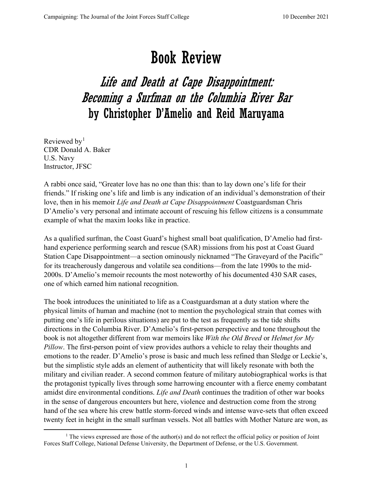## Book Review

## Life and Death at Cape Disappointment: Becoming a Surfman on the Columbia River Bar by Christopher D'Amelio and Reid Maruyama

Reviewed by<sup>[1](#page-0-0)</sup> CDR Donald A. Baker U.S. Navy Instructor, JFSC

A rabbi once said, "Greater love has no one than this: than to lay down one's life for their friends." If risking one's life and limb is any indication of an individual's demonstration of their love, then in his memoir *Life and Death at Cape Disappointment* Coastguardsman Chris D'Amelio's very personal and intimate account of rescuing his fellow citizens is a consummate example of what the maxim looks like in practice.

As a qualified surfman, the Coast Guard's highest small boat qualification, D'Amelio had firsthand experience performing search and rescue (SAR) missions from his post at Coast Guard Station Cape Disappointment—a section ominously nicknamed "The Graveyard of the Pacific" for its treacherously dangerous and volatile sea conditions—from the late 1990s to the mid-2000s. D'Amelio's memoir recounts the most noteworthy of his documented 430 SAR cases, one of which earned him national recognition.

The book introduces the uninitiated to life as a Coastguardsman at a duty station where the physical limits of human and machine (not to mention the psychological strain that comes with putting one's life in perilous situations) are put to the test as frequently as the tide shifts directions in the Columbia River. D'Amelio's first-person perspective and tone throughout the book is not altogether different from war memoirs like *With the Old Breed* or *Helmet for My Pillow*. The first-person point of view provides authors a vehicle to relay their thoughts and emotions to the reader. D'Amelio's prose is basic and much less refined than Sledge or Leckie's, but the simplistic style adds an element of authenticity that will likely resonate with both the military and civilian reader. A second common feature of military autobiographical works is that the protagonist typically lives through some harrowing encounter with a fierce enemy combatant amidst dire environmental conditions. *Life and Death* continues the tradition of other war books in the sense of dangerous encounters but here, violence and destruction come from the strong hand of the sea where his crew battle storm-forced winds and intense wave-sets that often exceed twenty feet in height in the small surfman vessels. Not all battles with Mother Nature are won, as

<span id="page-0-0"></span><sup>&</sup>lt;sup>1</sup> The views expressed are those of the author(s) and do not reflect the official policy or position of Joint Forces Staff College, National Defense University, the Department of Defense, or the U.S. Government.